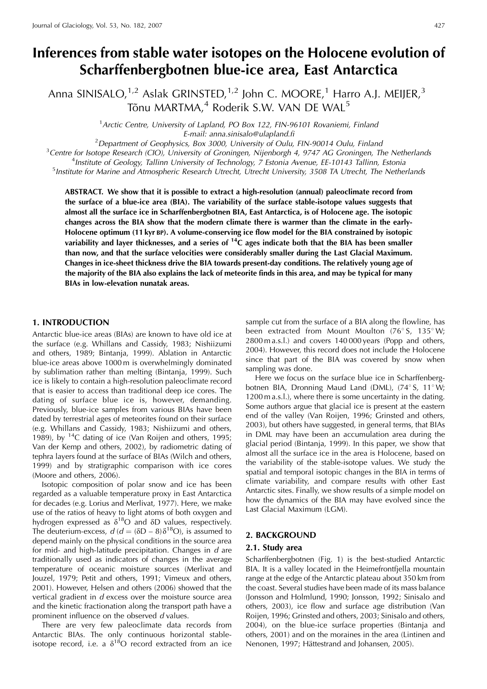# **Inferences from stable water isotopes on the Holocene evolution of Scharffenbergbotnen blue-ice area, East Antarctica**

Anna SINISALO, $^{1,2}$  Aslak GRINSTED, $^{1,2}$  John C. MOORE, $^{1}$  Harro A.J. MEIJER, $^{3}$ Tõnu MARTMA,<sup>4</sup> Roderik S.W. VAN DE WAL<sup>5</sup>

> <sup>1</sup> Arctic Centre, University of Lapland, PO Box 122, FIN-96101 Rovaniemi, Finland E-mail: anna.sinisalo@ulapland.fi<br>2Department of Coopbysics, Box 3000, University of Qulu

 $^2$ Department of Geophysics, Box 3000, University of Oulu, FIN-90014 Oulu, Finland  $^3$ Centre for Isotope Research (CIO), University of Gropingen, Nijephorgh 4, 9747 AG Gropingen, Tl

 $3$  Centre for Isotope Research (CIO), University of Groningen, Nijenborgh 4, 9747 AG Groningen, The Netherlands

<sup>4</sup> Institute of Geology, Tallinn University of Technology, 7 Estonia Avenue, EE-10143 Tallinn, Estonia

<sup>5</sup> Institute for Marine and Atmospheric Research Utrecht, Utrecht University, 3508 TA Utrecht, The Netherlands

**ABSTRACT. We show that it is possible to extract a high-resolution (annual) paleoclimate record from the surface of a blue-ice area (BIA). The variability of the surface stable-isotope values suggests that almost all the surface ice in Scharffenbergbotnen BIA, East Antarctica, is of Holocene age. The isotopic changes across the BIA show that the modern climate there is warmer than the climate in the early-Holocene optimum (11 kyr BP). A volume-conserving ice flow model for the BIA constrained by isotopic variability and layer thicknesses, and a series of 14C ages indicate both that the BIA has been smaller than now, and that the surface velocities were considerably smaller during the Last Glacial Maximum. Changes in ice-sheet thickness drive the BIA towards present-day conditions. The relatively young age of the majority of the BIA also explains the lack of meteorite finds in this area, and may be typical for many BIAs in low-elevation nunatak areas.**

# **1. INTRODUCTION**

Antarctic blue-ice areas (BIAs) are known to have old ice at the surface (e.g. Whillans and Cassidy, 1983; Nishiizumi and others, 1989; Bintanja, 1999). Ablation in Antarctic blue-ice areas above 1000 m is overwhelmingly dominated by sublimation rather than melting (Bintanja, 1999). Such ice is likely to contain a high-resolution paleoclimate record that is easier to access than traditional deep ice cores. The dating of surface blue ice is, however, demanding. Previously, blue-ice samples from various BIAs have been dated by terrestrial ages of meteorites found on their surface (e.g. Whillans and Cassidy, 1983; Nishiizumi and others, 1989), by  $14C$  dating of ice (Van Roijen and others, 1995; Van der Kemp and others, 2002), by radiometric dating of tephra layers found at the surface of BIAs (Wilch and others, 1999) and by stratigraphic comparison with ice cores (Moore and others, 2006).

Isotopic composition of polar snow and ice has been regarded as a valuable temperature proxy in East Antarctica for decades (e.g. Lorius and Merlivat, 1977). Here, we make use of the ratios of heavy to light atoms of both oxygen and hydrogen expressed as  $\delta^{18}O$  and  $\delta D$  values, respectively. The deuterium-excess,  $d (d = (\delta D - 8) \delta^{18}O)$ , is assumed to depend mainly on the physical conditions in the source area for mid- and high-latitude precipitation. Changes in  $d$  are traditionally used as indicators of changes in the average temperature of oceanic moisture sources (Merlivat and Jouzel, 1979; Petit and others, 1991; Vimeux and others, 2001). However, Helsen and others (2006) showed that the vertical gradient in d excess over the moisture source area and the kinetic fractionation along the transport path have a prominent influence on the observed d values.

There are very few paleoclimate data records from Antarctic BIAs. The only continuous horizontal stableisotope record, i.e. a  $\delta^{18}O$  record extracted from an ice

sample cut from the surface of a BIA along the flowline, has been extracted from Mount Moulton (76° S, 135° W; 2800 m a.s.l.) and covers 140 000 years (Popp and others, 2004). However, this record does not include the Holocene since that part of the BIA was covered by snow when sampling was done.

Here we focus on the surface blue ice in Scharffenbergbotnen BIA, Dronning Maud Land (DML),  $(74^{\circ} S, 11^{\circ} W;$ 1200 m a.s.l.), where there is some uncertainty in the dating. Some authors argue that glacial ice is present at the eastern end of the valley (Van Roijen, 1996; Grinsted and others, 2003), but others have suggested, in general terms, that BIAs in DML may have been an accumulation area during the glacial period (Bintanja, 1999). In this paper, we show that almost all the surface ice in the area is Holocene, based on the variability of the stable-isotope values. We study the spatial and temporal isotopic changes in the BIA in terms of climate variability, and compare results with other East Antarctic sites. Finally, we show results of a simple model on how the dynamics of the BIA may have evolved since the Last Glacial Maximum (LGM).

### **2. BACKGROUND**

#### **2.1. Study area**

Scharffenbergbotnen (Fig. 1) is the best-studied Antarctic BIA. It is a valley located in the Heimefrontfjella mountain range at the edge of the Antarctic plateau about 350 km from the coast. Several studies have been made of its mass balance (Jonsson and Holmlund, 1990; Jonsson, 1992; Sinisalo and others, 2003), ice flow and surface age distribution (Van Roijen, 1996; Grinsted and others, 2003; Sinisalo and others, 2004), on the blue-ice surface properties (Bintanja and others, 2001) and on the moraines in the area (Lintinen and Nenonen, 1997; Hättestrand and Johansen, 2005).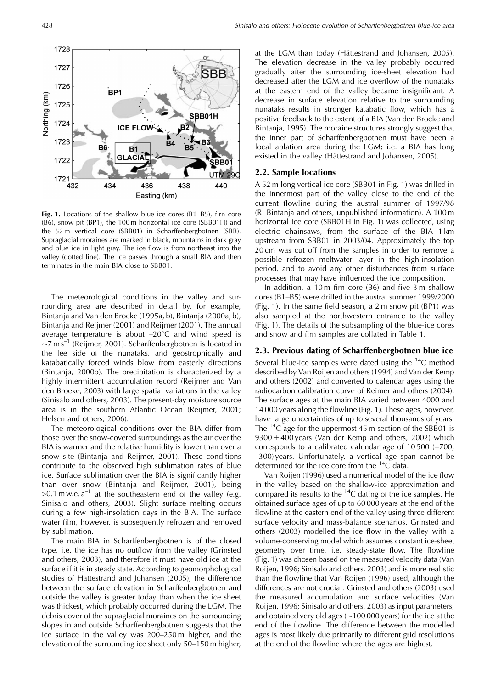Fig. 1. Locations of the shallow blue-ice cores (B1–B5), firn core (B6), snow pit (BP1), the 100 m horizontal ice core (SBB01H) and the 52 m vertical core (SBB01) in Scharffenbergbotnen (SBB). Supraglacial moraines are marked in black, mountains in dark gray and blue ice in light gray. The ice flow is from northeast into the valley (dotted line). The ice passes through a small BIA and then terminates in the main BIA close to SBB01.

The meteorological conditions in the valley and surrounding area are described in detail by, for example, Bintanja and Van den Broeke (1995a, b), Bintanja (2000a, b), Bintanja and Reijmer (2001) and Reijmer (2001). The annual average temperature is about  $-20^{\circ}$ C and wind speed is  $\sim$ 7 m $\sin^{-1}$  (Reijmer, 2001). Scharffenbergbotnen is located in the lee side of the nunataks, and geostrophically and katabatically forced winds blow from easterly directions (Bintanja, 2000b). The precipitation is characterized by a highly intermittent accumulation record (Reijmer and Van den Broeke, 2003) with large spatial variations in the valley (Sinisalo and others, 2003). The present-day moisture source area is in the southern Atlantic Ocean (Reijmer, 2001; Helsen and others, 2006).

The meteorological conditions over the BIA differ from those over the snow-covered surroundings as the air over the BIA is warmer and the relative humidity is lower than over a snow site (Bintanja and Reijmer, 2001). These conditions contribute to the observed high sublimation rates of blue ice. Surface sublimation over the BIA is significantly higher than over snow (Bintanja and Reijmer, 2001), being  $>0.1$  m w.e. a<sup>-1</sup> at the southeastern end of the valley (e.g. Sinisalo and others, 2003). Slight surface melting occurs during a few high-insolation days in the BIA. The surface water film, however, is subsequently refrozen and removed by sublimation.

The main BIA in Scharffenbergbotnen is of the closed type, i.e. the ice has no outflow from the valley (Grinsted and others, 2003), and therefore it must have old ice at the surface if it is in steady state. According to geomorphological studies of Hättestrand and Johansen (2005), the difference between the surface elevation in Scharffenbergbotnen and outside the valley is greater today than when the ice sheet was thickest, which probably occurred during the LGM. The debris cover of the supraglacial moraines on the surrounding slopes in and outside Scharffenbergbotnen suggests that the ice surface in the valley was 200–250 m higher, and the elevation of the surrounding ice sheet only 50–150 m higher,

at the LGM than today (Hättestrand and Johansen, 2005). The elevation decrease in the valley probably occurred gradually after the surrounding ice-sheet elevation had decreased after the LGM and ice overflow of the nunataks at the eastern end of the valley became insignificant. A decrease in surface elevation relative to the surrounding nunataks results in stronger katabatic flow, which has a positive feedback to the extent of a BIA (Van den Broeke and Bintanja, 1995). The moraine structures strongly suggest that the inner part of Scharffenbergbotnen must have been a local ablation area during the LGM; i.e. a BIA has long existed in the valley (Hättestrand and Johansen, 2005).

## **2.2. Sample locations**

A 52 m long vertical ice core (SBB01 in Fig. 1) was drilled in the innermost part of the valley close to the end of the current flowline during the austral summer of 1997/98 (R. Bintanja and others, unpublished information). A 100 m horizontal ice core (SBB01H in Fig. 1) was collected, using electric chainsaws, from the surface of the BIA 1 km upstream from SBB01 in 2003/04. Approximately the top 20 cm was cut off from the samples in order to remove a possible refrozen meltwater layer in the high-insolation period, and to avoid any other disturbances from surface processes that may have influenced the ice composition.

In addition, a 10 m firn core (B6) and five 3 m shallow cores (B1–B5) were drilled in the austral summer 1999/2000 (Fig. 1). In the same field season, a 2 m snow pit (BP1) was also sampled at the northwestern entrance to the valley (Fig. 1). The details of the subsampling of the blue-ice cores and snow and firn samples are collated in Table 1.

#### **2.3. Previous dating of Scharffenbergbotnen blue ice**

Several blue-ice samples were dated using the  ${}^{14}C$  method described by Van Roijen and others (1994) and Van der Kemp and others (2002) and converted to calendar ages using the radiocarbon calibration curve of Reimer and others (2004). The surface ages at the main BIA varied between 4000 and 14 000 years along the flowline (Fig. 1). These ages, however, have large uncertainties of up to several thousands of years. The  $^{14}$ C age for the uppermost 45 m section of the SBB01 is  $9300 \pm 400$  years (Van der Kemp and others, 2002) which corresponds to a calibrated calendar age of 10 500 (+700, –300) years. Unfortunately, a vertical age span cannot be determined for the ice core from the  ${}^{14}C$  data.

Van Roijen (1996) used a numerical model of the ice flow in the valley based on the shallow-ice approximation and compared its results to the  $^{14}C$  dating of the ice samples. He obtained surface ages of up to 60 000 years at the end of the flowline at the eastern end of the valley using three different surface velocity and mass-balance scenarios. Grinsted and others (2003) modelled the ice flow in the valley with a volume-conserving model which assumes constant ice-sheet geometry over time, i.e. steady-state flow. The flowline (Fig. 1) was chosen based on the measured velocity data (Van Roijen, 1996; Sinisalo and others, 2003) and is more realistic than the flowline that Van Roijen (1996) used, although the differences are not crucial. Grinsted and others (2003) used the measured accumulation and surface velocities (Van Roijen, 1996; Sinisalo and others, 2003) as input parameters, and obtained very old ages ( $\sim$ 100 000 years) for the ice at the end of the flowline. The difference between the modelled ages is most likely due primarily to different grid resolutions at the end of the flowline where the ages are highest.

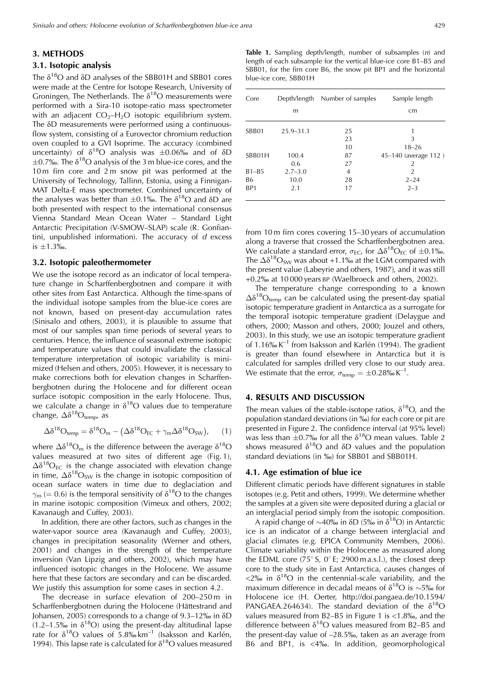# **3. METHODS**

# **3.1. Isotopic analysis**

The  $\delta^{18}O$  and  $\delta D$  analyses of the SBB01H and SBB01 cores were made at the Centre for Isotope Research, University of Groningen. The Netherlands. The  $\delta^{18}O$  measurements were performed with a Sira-10 isotope-ratio mass spectrometer with an adjacent  $CO<sub>2</sub>–H<sub>2</sub>O$  isotopic equilibrium system. The  $\delta$ D measurements were performed using a continuousflow system, consisting of a Eurovector chromium reduction oven coupled to a GVI Isoprime. The accuracy (combined uncertainty) of  $\delta^{18}O$  analysis was  $\pm 0.06\%$  and of  $\delta D$  $\pm$ 0.7‰. The  $\delta^{18}$ O analysis of the 3 m blue-ice cores, and the 10 m firn core and 2 m snow pit was performed at the University of Technology, Tallinn, Estonia, using a Finnigan-MAT Delta-E mass spectrometer. Combined uncertainty of the analyses was better than  $\pm 0.1$ %. The  $\delta^{18}O$  and  $\delta D$  are both presented with respect to the international consensus Vienna Standard Mean Ocean Water – Standard Light Antarctic Precipitation (V-SMOW–SLAP) scale (R. Gonfiantini, unpublished information). The accuracy of  $d$  excess is  $\pm 1.3%$ .

#### **3.2. Isotopic paleothermometer**

We use the isotope record as an indicator of local temperature change in Scharffenbergbotnen and compare it with other sites from East Antarctica. Although the time-spans of the individual isotope samples from the blue-ice cores are not known, based on present-day accumulation rates (Sinisalo and others, 2003), it is plausible to assume that most of our samples span time periods of several years to centuries. Hence, the influence of seasonal extreme isotopic and temperature values that could invalidate the classical temperature interpretation of isotopic variability is minimized (Helsen and others, 2005). However, it is necessary to make corrections both for elevation changes in Scharffenbergbotnen during the Holocene and for different ocean surface isotopic composition in the early Holocene. Thus, we calculate a change in  $\delta^{18}O$  values due to temperature change,  $\Delta\delta^{18}O_{temp}$ , as

$$
\Delta \delta^{18} O_{temp} = \delta^{18} O_m - (\Delta \delta^{18} O_{EC} + \gamma_m \Delta \delta^{18} O_{SW}), \quad (1)
$$

where  $\Delta\delta^{18}O_m$  is the difference between the average  $\delta^{18}O$ values measured at two sites of different age (Fig. 1),  $\Delta\delta^{18}O_{FC}$  is the change associated with elevation change in time,  $\Delta\delta^{18}O_{SW}$  is the change in isotopic composition of ocean surface waters in time due to deglaciation and  $\gamma_{\rm m}$  (= 0.6) is the temporal sensitivity of  $\delta^{18}$ O to the changes in marine isotopic composition (Vimeux and others, 2002; Kavanaugh and Cuffey, 2003).

In addition, there are other factors, such as changes in the water-vapor source area (Kavanaugh and Cuffey, 2003), changes in precipitation seasonality (Werner and others, 2001) and changes in the strength of the temperature inversion (Van Lipzig and others, 2002), which may have influenced isotopic changes in the Holocene. We assume here that these factors are secondary and can be discarded. We justify this assumption for some cases in section 4.2.

The decrease in surface elevation of 200–250 m in Scharffenbergbotnen during the Holocene (Hättestrand and Johansen, 2005) corresponds to a change of  $9.3-12\%$  in  $\delta$ D  $(1.2-1.5\%)$  in  $\delta^{18}O$ ) using the present-day altitudinal lapse rate for  $\delta^{18}O$  values of  $5.8\%$  km<sup>-1</sup> (Isaksson and Karlén, 1994). This lapse rate is calculated for  $\delta^{18}O$  values measured

**Table 1.** Sampling depth/length, number of subsamples (n) and length of each subsample for the vertical blue-ice core B1–B5 and SBB01, for the firn core B6, the snow pit BP1 and the horizontal blue-ice core, SBB01H

| Core            |               | Depth/length Number of samples | Sample length        |  |  |
|-----------------|---------------|--------------------------------|----------------------|--|--|
|                 | m             |                                | cm                   |  |  |
| SBB01           | $25.9 - 31.1$ | 25                             |                      |  |  |
|                 |               | 23                             | 3                    |  |  |
|                 |               | 10                             | $18 - 26$            |  |  |
| SBB01H          | 100.4         | 87                             | 45-140 (average 112) |  |  |
|                 | 0.6           | 27                             | 2                    |  |  |
| $B1 - B5$       | $2.7 - 3.0$   | 4                              | $\overline{2}$       |  |  |
| <b>B6</b>       | 10.0          | 28                             | $2 - 24$             |  |  |
| BP <sub>1</sub> | 2.1           | 17                             | $2 - 3$              |  |  |

from 10 m firn cores covering 15–30 years of accumulation along a traverse that crossed the Scharffenbergbotnen area. We calculate a standard error,  $\sigma_{EC}$ , for  $\Delta\delta^{18}O_{EC}$  of  $\pm 0.1\%$ . The  $\Delta\delta^{18}O_{SW}$  was about +1.1% at the LGM compared with the present value (Labeyrie and others, 1987), and it was still +0.2% at 10 000 years BP (Waelbroeck and others, 2002).

The temperature change corresponding to a known  $\Delta\delta^{18}O_{\text{temp}}$  can be calculated using the present-day spatial isotopic temperature gradient in Antarctica as a surrogate for the temporal isotopic temperature gradient (Delaygue and others, 2000; Masson and others, 2000; Jouzel and others, 2003). In this study, we use an isotopic temperature gradient of 1.16‰ $K^{-1}$  from Isaksson and Karlén (1994). The gradient is greater than found elsewhere in Antarctica but it is calculated for samples drilled very close to our study area. We estimate that the error,  $\sigma_{temp} = \pm 0.28\% \text{ K}^{-1}$ .

# **4. RESULTS AND DISCUSSION**

The mean values of the stable-isotope ratios,  $\delta^{18}O$ , and the population standard deviations (in  $\frac{6}{10}$ ) for each core or pit are presented in Figure 2. The confidence interval (at 95% level) was less than  $\pm 0.7$ % for all the  $\delta^{18}O$  mean values. Table 2 shows measured  $\delta^{18}O$  and  $\delta D$  values and the population standard deviations (in ‰) for SBB01 and SBB01H.

## **4.1. Age estimation of blue ice**

Different climatic periods have different signatures in stable isotopes (e.g. Petit and others, 1999). We determine whether the samples at a given site were deposited during a glacial or an interglacial period simply from the isotopic composition.

A rapid change of  $\sim$ 40‰ in  $\delta$ D (5‰ in  $\delta$ <sup>18</sup>O) in Antarctic ice is an indicator of a change between interglacial and glacial climates (e.g. EPICA Community Members, 2006). Climate variability within the Holocene as measured along the EDML core ( $75^{\circ}$  S, 0° E; 2900 m a.s.l.), the closest deep core to the study site in East Antarctica, causes changes of  $\langle 2\%$  in  $\delta^{18}O$  in the centennial-scale variability, and the maximum difference in decadal means of  $\delta^{18}O$  is  $\sim$ 5‰ for Holocene ice (H. Oerter, http://doi.pangaea.de/10.1594/ PANGAEA.264634). The standard deviation of the  $\delta^{18}O$ values measured from B2–B5 in Figure 1 is <1.8%, and the difference between  $\delta^{18}O$  values measured from B2–B5 and the present-day value of –28.5%, taken as an average from B6 and BP1, is <4%. In addition, geomorphological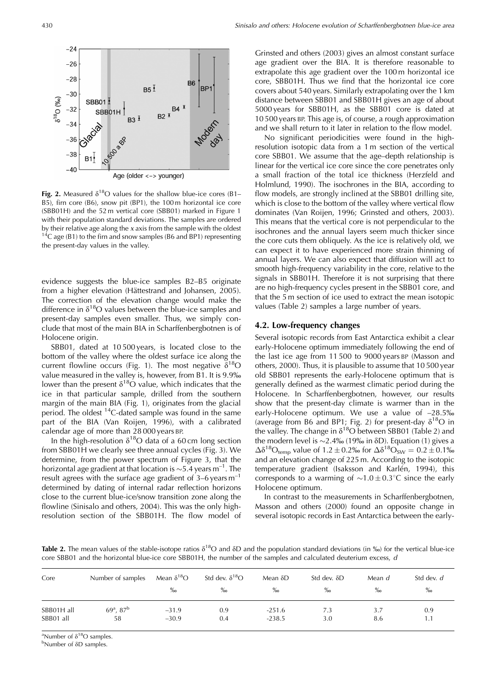

Fig. 2. Measured  $\delta^{18}O$  values for the shallow blue-ice cores (B1– B5), firn core (B6), snow pit (BP1), the 100 m horizontal ice core (SBB01H) and the 52 m vertical core (SBB01) marked in Figure 1 with their population standard deviations. The samples are ordered by their relative age along the x axis from the sample with the oldest  $14^{\circ}$ C age (B1) to the firn and snow samples (B6 and BP1) representing the present-day values in the valley.

evidence suggests the blue-ice samples B2–B5 originate from a higher elevation (Hättestrand and Johansen, 2005). The correction of the elevation change would make the difference in  $\delta^{18}O$  values between the blue-ice samples and present-day samples even smaller. Thus, we simply conclude that most of the main BIA in Scharffenbergbotnen is of Holocene origin.

SBB01, dated at 10 500 years, is located close to the bottom of the valley where the oldest surface ice along the current flowline occurs (Fig. 1). The most negative  $\delta^{18}O$ value measured in the valley is, however, from B1. It is 9.9‰ lower than the present  $\delta^{18}O$  value, which indicates that the ice in that particular sample, drilled from the southern margin of the main BIA (Fig. 1), originates from the glacial period. The oldest <sup>14</sup>C-dated sample was found in the same part of the BIA (Van Roijen, 1996), with a calibrated calendar age of more than 28 000 years BP.

In the high-resolution  $\delta^{18}O$  data of a 60 cm long section from SBB01H we clearly see three annual cycles (Fig. 3). We determine, from the power spectrum of Figure 3, that the horizontal age gradient at that location is  $\sim$  5.4 years m<sup>-1</sup>. The result agrees with the surface age gradient of  $3-6$  years m<sup>-1</sup> determined by dating of internal radar reflection horizons close to the current blue-ice/snow transition zone along the flowline (Sinisalo and others, 2004). This was the only highresolution section of the SBB01H. The flow model of Grinsted and others (2003) gives an almost constant surface age gradient over the BIA. It is therefore reasonable to extrapolate this age gradient over the 100 m horizontal ice core, SBB01H. Thus we find that the horizontal ice core covers about 540 years. Similarly extrapolating over the 1 km distance between SBB01 and SBB01H gives an age of about 5000 years for SBB01H, as the SBB01 core is dated at 10 500 years BP. This age is, of course, a rough approximation and we shall return to it later in relation to the flow model.

No significant periodicities were found in the highresolution isotopic data from a 1 m section of the vertical core SBB01. We assume that the age–depth relationship is linear for the vertical ice core since the core penetrates only a small fraction of the total ice thickness (Herzfeld and Holmlund, 1990). The isochrones in the BIA, according to flow models, are strongly inclined at the SBB01 drilling site, which is close to the bottom of the valley where vertical flow dominates (Van Roijen, 1996; Grinsted and others, 2003). This means that the vertical core is not perpendicular to the isochrones and the annual layers seem much thicker since the core cuts them obliquely. As the ice is relatively old, we can expect it to have experienced more strain thinning of annual layers. We can also expect that diffusion will act to smooth high-frequency variability in the core, relative to the signals in SBB01H. Therefore it is not surprising that there are no high-frequency cycles present in the SBB01 core, and that the 5 m section of ice used to extract the mean isotopic values (Table 2) samples a large number of years.

## **4.2. Low-frequency changes**

Several isotopic records from East Antarctica exhibit a clear early-Holocene optimum immediately following the end of the last ice age from 11 500 to 9000 years BP (Masson and others, 2000). Thus, it is plausible to assume that 10 500 year old SBB01 represents the early-Holocene optimum that is generally defined as the warmest climatic period during the Holocene. In Scharffenbergbotnen, however, our results show that the present-day climate is warmer than in the early-Holocene optimum. We use a value of –28.5% (average from B6 and BP1; Fig. 2) for present-day  $\delta^{18}O$  in the valley. The change in  $\delta^{18}O$  between SBB01 (Table 2) and the modern level is  $\sim$ 2.4‰ (19‰ in  $\delta$ D). Equation (1) gives a  $\Delta\delta^{18}O_{\rm temp}$  value of 1.2 ± 0.2% for  $\Delta\delta^{18}O_{\rm SW} = 0.2 \pm 0.1\%$ and an elevation change of 225 m. According to the isotopic temperature gradient (Isaksson and Karlén, 1994), this corresponds to a warming of  $\sim 1.0 \pm 0.3^{\circ}$ C since the early Holocene optimum.

In contrast to the measurements in Scharffenbergbotnen, Masson and others (2000) found an opposite change in several isotopic records in East Antarctica between the early-

**Table 2.** The mean values of the stable-isotope ratios  $\delta^{18}$ O and  $\delta$ D and the population standard deviations (in ‰) for the vertical blue-ice core SBB01 and the horizontal blue-ice core SBB01H, the number of the samples and calculated deuterium excess, d

| Core       | Number of samples | Mean $\delta^{18}O$<br>$\%$ | Std dev. $\delta^{18}O$<br>$\%$ <sub>0</sub> | Mean $\delta D$<br>$\%$ | Std dev. $\delta D$<br>$\%$ <sub>0</sub> | Mean d<br>$\%$ | Std dev. d<br>$\%$ |
|------------|-------------------|-----------------------------|----------------------------------------------|-------------------------|------------------------------------------|----------------|--------------------|
| SBB01H all | $69^a$ , $87^b$   | $-31.9$                     | 0.9                                          | $-251.6$                | 7.3                                      | 3.7            | 0.9                |
| SBB01 all  | 58                | $-30.9$                     | 0.4                                          | $-238.5$                | 3.0                                      | 8.6            | 1.1                |

<sup>a</sup>Number of  $\delta^{18}O$  samples.

<sup>b</sup>Number of δD samples.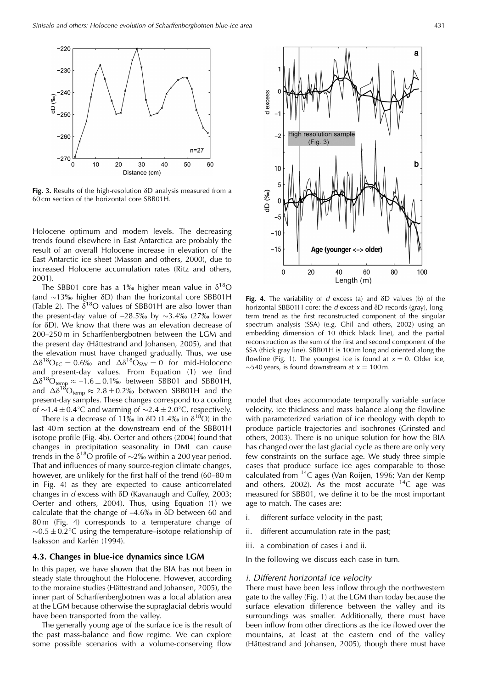

**Fig. 3.** Results of the high-resolution δD analysis measured from a 60 cm section of the horizontal core SBB01H.

Holocene optimum and modern levels. The decreasing trends found elsewhere in East Antarctica are probably the result of an overall Holocene increase in elevation of the East Antarctic ice sheet (Masson and others, 2000), due to increased Holocene accumulation rates (Ritz and others, 2001).

The SBB01 core has a 1% higher mean value in  $\delta^{18}O$ (and  $\sim$ 13‰ higher  $\delta$ D) than the horizontal core SBB01H (Table 2). The  $\delta^{18}O$  values of SBB01H are also lower than the present-day value of  $-28.5\%$  by  $\sim$ 3.4% (27% lower for  $\delta D$ ). We know that there was an elevation decrease of 200–250 m in Scharffenbergbotnen between the LGM and the present day (Hättestrand and Johansen, 2005), and that the elevation must have changed gradually. Thus, we use  $\Delta\delta^{18}O_{\text{FC}} = 0.6\%$  and  $\Delta\delta^{18}O_{\text{SW}} = 0$  for mid-Holocene and present-day values. From Equation (1) we find  $\Delta\delta^{18}$ O<sub>temp</sub>  $\approx -1.6 \pm 0.1\%$  between SBB01 and SBB01H, and  $\Delta \delta^{18} \text{O}_{\text{temp}} \approx 2.8 \pm 0.2\%$  between SBB01H and the present-day samples. These changes correspond to a cooling of  $\sim$ 1.4 ± 0.4°C and warming of  $\sim$ 2.4 ± 2.0°C, respectively.

There is a decrease of 11‰ in  $\delta$ D (1.4‰ in  $\delta^{18}$ O) in the last 40 m section at the downstream end of the SBB01H isotope profile (Fig. 4b). Oerter and others (2004) found that changes in precipitation seasonality in DML can cause trends in the  $\delta^{18}$ O profile of  $\sim$ 2‰ within a 200 year period. That and influences of many source-region climate changes, however, are unlikely for the first half of the trend (60–80 m in Fig. 4) as they are expected to cause anticorrelated changes in  $d$  excess with  $\delta D$  (Kavanaugh and Cuffey, 2003; Oerter and others, 2004). Thus, using Equation (1) we calculate that the change of  $-4.6\%$  in  $\delta D$  between 60 and 80 m (Fig. 4) corresponds to a temperature change of  $\sim 0.5 \pm 0.2$ °C using the temperature–isotope relationship of Isaksson and Karlén (1994).

## **4.3. Changes in blue-ice dynamics since LGM**

In this paper, we have shown that the BIA has not been in steady state throughout the Holocene. However, according to the moraine studies (Hättestrand and Johansen, 2005), the inner part of Scharffenbergbotnen was a local ablation area at the LGM because otherwise the supraglacial debris would have been transported from the valley.

The generally young age of the surface ice is the result of the past mass-balance and flow regime. We can explore some possible scenarios with a volume-conserving flow



Fig. 4. The variability of d excess (a) and  $\delta$ D values (b) of the horizontal SBB01H core: the  $d$  excess and  $\delta$ D records (gray), longterm trend as the first reconstructed component of the singular spectrum analysis (SSA) (e.g. Ghil and others, 2002) using an embedding dimension of 10 (thick black line), and the partial reconstruction as the sum of the first and second component of the SSA (thick gray line). SBB01H is 100 m long and oriented along the flowline (Fig. 1). The youngest ice is found at  $x = 0$ . Older ice,  $\sim$ 540 years, is found downstream at  $x = 100$  m.

model that does accommodate temporally variable surface velocity, ice thickness and mass balance along the flowline with parameterized variation of ice rheology with depth to produce particle trajectories and isochrones (Grinsted and others, 2003). There is no unique solution for how the BIA has changed over the last glacial cycle as there are only very few constraints on the surface age. We study three simple cases that produce surface ice ages comparable to those calculated from  $^{14}C$  ages (Van Roijen, 1996; Van der Kemp and others, 2002). As the most accurate  $^{14}$ C age was measured for SBB01, we define it to be the most important age to match. The cases are:

- i. different surface velocity in the past;
- ii. different accumulation rate in the past;
- iii. a combination of cases i and ii.

In the following we discuss each case in turn.

#### i. Different horizontal ice velocity

There must have been less inflow through the northwestern gate to the valley (Fig. 1) at the LGM than today because the surface elevation difference between the valley and its surroundings was smaller. Additionally, there must have been inflow from other directions as the ice flowed over the mountains, at least at the eastern end of the valley (Hättestrand and Johansen, 2005), though there must have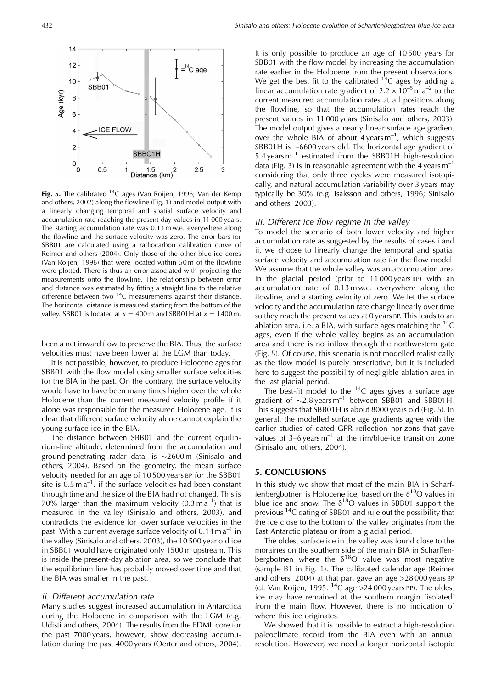

**Fig. 5.** The calibrated 14C ages (Van Roijen, 1996; Van der Kemp and others, 2002) along the flowline (Fig. 1) and model output with a linearly changing temporal and spatial surface velocity and accumulation rate reaching the present-day values in 11 000 years. The starting accumulation rate was 0.13 m w.e. everywhere along the flowline and the surface velocity was zero. The error bars for SBB01 are calculated using a radiocarbon calibration curve of Reimer and others (2004). Only those of the other blue-ice cores (Van Roijen, 1996) that were located within 50 m of the flowline were plotted. There is thus an error associated with projecting the measurements onto the flowline. The relationship between error and distance was estimated by fitting a straight line to the relative difference between two <sup>14</sup>C measurements against their distance. The horizontal distance is measured starting from the bottom of the valley. SBB01 is located at  $x = 400$  m and SBB01H at  $x = 1400$  m.

been a net inward flow to preserve the BIA. Thus, the surface velocities must have been lower at the LGM than today.

It is not possible, however, to produce Holocene ages for SBB01 with the flow model using smaller surface velocities for the BIA in the past. On the contrary, the surface velocity would have to have been many times higher over the whole Holocene than the current measured velocity profile if it alone was responsible for the measured Holocene age. It is clear that different surface velocity alone cannot explain the young surface ice in the BIA.

The distance between SBB01 and the current equilibrium-line altitude, determined from the accumulation and ground-penetrating radar data, is  $\sim$ 2600 m (Sinisalo and others, 2004). Based on the geometry, the mean surface velocity needed for an age of 10 500 years BP for the SBB01 site is  $0.5 \text{ m a}^{-1}$ , if the surface velocities had been constant through time and the size of the BIA had not changed. This is 70% larger than the maximum velocity  $(0.3 \text{ m a}^{-1})$  that is measured in the valley (Sinisalo and others, 2003), and contradicts the evidence for lower surface velocities in the past. With a current average surface velocity of  $0.14$  m a<sup>-1</sup> in the valley (Sinisalo and others, 2003), the 10 500 year old ice in SBB01 would have originated only 1500 m upstream. This is inside the present-day ablation area, so we conclude that the equilibrium line has probably moved over time and that the BIA was smaller in the past.

#### ii. Different accumulation rate

Many studies suggest increased accumulation in Antarctica during the Holocene in comparison with the LGM (e.g. Udisti and others, 2004). The results from the EDML core for the past 7000 years, however, show decreasing accumulation during the past 4000 years (Oerter and others, 2004).

It is only possible to produce an age of 10 500 years for SBB01 with the flow model by increasing the accumulation rate earlier in the Holocene from the present observations. We get the best fit to the calibrated  $14C$  ages by adding a linear accumulation rate gradient of  $2.2 \times 10^{-5}$  m a<sup>-2</sup> to the current measured accumulation rates at all positions along the flowline, so that the accumulation rates reach the present values in 11 000 years (Sinisalo and others, 2003). The model output gives a nearly linear surface age gradient over the whole BIA of about  $4 \text{ years m}^{-1}$ , which suggests SBB01H is  $\sim$ 6600 years old. The horizontal age gradient of 5.4 years m–1 estimated from the SBB01H high-resolution data (Fig. 3) is in reasonable agreement with the 4 years  $m^{-1}$ considering that only three cycles were measured isotopically, and natural accumulation variability over 3 years may typically be 30% (e.g. Isaksson and others, 1996; Sinisalo and others, 2003).

#### iii. Different ice flow regime in the valley

To model the scenario of both lower velocity and higher accumulation rate as suggested by the results of cases i and ii, we choose to linearly change the temporal and spatial surface velocity and accumulation rate for the flow model. We assume that the whole valley was an accumulation area in the glacial period (prior to 11 000 years BP) with an accumulation rate of 0.13 m w.e. everywhere along the flowline, and a starting velocity of zero. We let the surface velocity and the accumulation rate change linearly over time so they reach the present values at 0 years BP. This leads to an ablation area, i.e. a BIA, with surface ages matching the  $^{14}C$ ages, even if the whole valley begins as an accumulation area and there is no inflow through the northwestern gate (Fig. 5). Of course, this scenario is not modelled realistically as the flow model is purely prescriptive, but it is included here to suggest the possibility of negligible ablation area in the last glacial period.

The best-fit model to the  $14C$  ages gives a surface age gradient of  $\sim$ 2.8 years m<sup>-1</sup> between SBB01 and SBB01H. This suggests that SBB01H is about 8000 years old (Fig. 5). In general, the modelled surface age gradients agree with the earlier studies of dated GPR reflection horizons that gave values of  $3-6$  years  $m^{-1}$  at the firm/blue-ice transition zone (Sinisalo and others, 2004).

#### **5. CONCLUSIONS**

In this study we show that most of the main BIA in Scharffenbergbotnen is Holocene ice, based on the  $\delta^{18}O$  values in blue ice and snow. The  $\delta^{18}O$  values in SBB01 support the previous 14C dating of SBB01 and rule out the possibility that the ice close to the bottom of the valley originates from the East Antarctic plateau or from a glacial period.

The oldest surface ice in the valley was found close to the moraines on the southern side of the main BIA in Scharffenbergbotnen where the  $\delta^{18}O$  value was most negative (sample B1 in Fig. 1). The calibrated calendar age (Reimer and others, 2004) at that part gave an age >28 000 years BP (cf. Van Roijen, 1995:  ${}^{14}C$  age > 24 000 years BP). The oldest ice may have remained at the southern margin 'isolated' from the main flow. However, there is no indication of where this ice originates.

We showed that it is possible to extract a high-resolution paleoclimate record from the BIA even with an annual resolution. However, we need a longer horizontal isotopic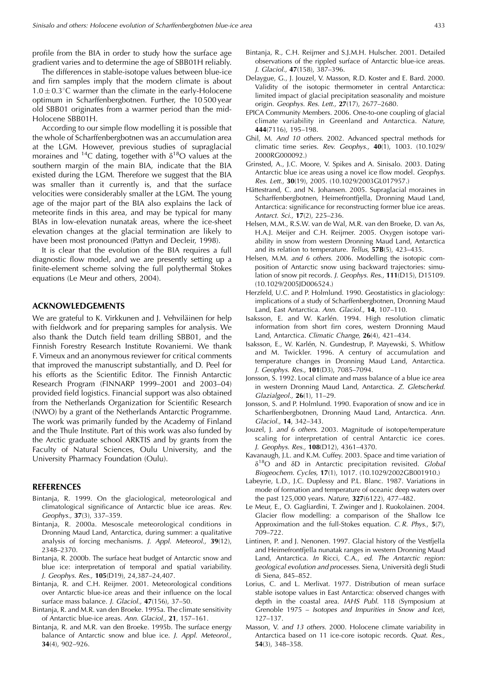profile from the BIA in order to study how the surface age gradient varies and to determine the age of SBB01H reliably.

The differences in stable-isotope values between blue-ice and firn samples imply that the modern climate is about  $1.0 \pm 0.3^{\circ}$ C warmer than the climate in the early-Holocene optimum in Scharffenbergbotnen. Further, the 10 500 year old SBB01 originates from a warmer period than the mid-Holocene SBB01H.

According to our simple flow modelling it is possible that the whole of Scharffenbergbotnen was an accumulation area at the LGM. However, previous studies of supraglacial moraines and <sup>14</sup>C dating, together with  $\delta^{18}O$  values at the southern margin of the main BIA, indicate that the BIA existed during the LGM. Therefore we suggest that the BIA was smaller than it currently is, and that the surface velocities were considerably smaller at the LGM. The young age of the major part of the BIA also explains the lack of meteorite finds in this area, and may be typical for many BIAs in low-elevation nunatak areas, where the ice-sheet elevation changes at the glacial termination are likely to have been most pronounced (Pattyn and Decleir, 1998).

It is clear that the evolution of the BIA requires a full diagnostic flow model, and we are presently setting up a finite-element scheme solving the full polythermal Stokes equations (Le Meur and others, 2004).

## **ACKNOWLEDGEMENTS**

We are grateful to K. Virkkunen and J. Vehviläinen for help with fieldwork and for preparing samples for analysis. We also thank the Dutch field team drilling SBB01, and the Finnish Forestry Research Institute Rovaniemi. We thank F. Vimeux and an anonymous reviewer for critical comments that improved the manuscript substantially, and D. Peel for his efforts as the Scientific Editor. The Finnish Antarctic Research Program (FINNARP 1999–2001 and 2003–04) provided field logistics. Financial support was also obtained from the Netherlands Organization for Scientific Research (NWO) by a grant of the Netherlands Antarctic Programme. The work was primarily funded by the Academy of Finland and the Thule Institute. Part of this work was also funded by the Arctic graduate school ARKTIS and by grants from the Faculty of Natural Sciences, Oulu University, and the University Pharmacy Foundation (Oulu).

# **REFERENCES**

- Bintanja, R. 1999. On the glaciological, meteorological and climatological significance of Antarctic blue ice areas. Rev. Geophys., **37**(3), 337–359.
- Bintanja, R. 2000a. Mesoscale meteorological conditions in Dronning Maud Land, Antarctica, during summer: a qualitative analysis of forcing mechanisms. J. Appl. Meteorol., **39**(12), 2348–2370.
- Bintanja, R. 2000b. The surface heat budget of Antarctic snow and blue ice: interpretation of temporal and spatial variability. J. Geophys. Res., **105**(D19), 24,387–24,407.
- Bintanja, R. and C.H. Reijmer. 2001. Meteorological conditions over Antarctic blue-ice areas and their influence on the local surface mass balance. J. Glaciol., **47**(156), 37–50.
- Bintanja, R. and M.R. van den Broeke. 1995a. The climate sensitivity of Antarctic blue-ice areas. Ann. Glaciol., **21**, 157–161.
- Bintanja, R. and M.R. van den Broeke. 1995b. The surface energy balance of Antarctic snow and blue ice. J. Appl. Meteorol., **34**(4), 902–926.
- Bintanja, R., C.H. Reijmer and S.J.M.H. Hulscher. 2001. Detailed observations of the rippled surface of Antarctic blue-ice areas. J. Glaciol., **47**(158), 387–396.
- Delaygue, G., J. Jouzel, V. Masson, R.D. Koster and E. Bard. 2000. Validity of the isotopic thermometer in central Antarctica: limited impact of glacial precipitation seasonality and moisture origin. Geophys. Res. Lett., **27**(17), 2677–2680.
- EPICA Community Members. 2006. One-to-one coupling of glacial climate variability in Greenland and Antarctica. Nature, **444**(7116), 195–198.
- Ghil, M. And 10 others. 2002. Advanced spectral methods for climatic time series. Rev. Geophys., **40**(1), 1003. (10.1029/ 2000RG000092.)
- Grinsted, A., J.C. Moore, V. Spikes and A. Sinisalo. 2003. Dating Antarctic blue ice areas using a novel ice flow model. Geophys. Res. Lett., **30**(19), 2005. (10.1029/2003GL017957.)
- Hättestrand, C. and N. Johansen. 2005. Supraglacial moraines in Scharffenbergbotnen, Heimefrontfjella, Dronning Maud Land, Antarctica: significance for reconstructing former blue ice areas. Antarct. Sci., **17**(2), 225–236.
- Helsen, M.M., R.S.W. van de Wal, M.R. van den Broeke, D. van As, H.A.J. Meijer and C.H. Reijmer. 2005. Oxygen isotope variability in snow from western Dronning Maud Land, Antarctica and its relation to temperature. Tellus, **57B**(5), 423–435.
- Helsen, M.M. and 6 others. 2006. Modelling the isotopic composition of Antarctic snow using backward trajectories: simulation of snow pit records. J. Geophys. Res., **111**(D15), D15109. (10.1029/2005JD006524.)
- Herzfeld, U.C. and P. Holmlund. 1990. Geostatistics in glaciology: implications of a study of Scharffenbergbotnen, Dronning Maud Land, East Antarctica. Ann. Glaciol., **14**, 107–110.
- Isaksson, E. and W. Karlén. 1994. High resolution climatic information from short firn cores, western Dronning Maud Land, Antarctica. Climatic Change, **26**(4), 421–434.
- Isaksson, E., W. Karlén, N. Gundestrup, P. Mayewski, S. Whitlow and M. Twickler. 1996. A century of accumulation and temperature changes in Dronning Maud Land, Antarctica. J. Geophys. Res., **101**(D3), 7085–7094.
- Jonsson, S. 1992. Local climate and mass balance of a blue ice area in western Dronning Maud Land, Antarctica. Z. Gletscherkd. Glazialgeol., **26**(1), 11–29.
- Jonsson, S. and P. Holmlund. 1990. Evaporation of snow and ice in Scharffenbergbotnen, Dronning Maud Land, Antarctica. Ann. Glaciol., **14**, 342–343.
- Jouzel, J. and 6 others. 2003. Magnitude of isotope/temperature scaling for interpretation of central Antarctic ice cores. J. Geophys. Res., **108**(D12), 4361–4370.
- Kavanaugh, J.L. and K.M. Cuffey. 2003. Space and time variation of  $\delta^{18}O$  and  $\delta D$  in Antarctic precipitation revisited. Global Biogeochem. Cycles, **17**(1), 1017. (10.1029/2002GB001910.)
- Labeyrie, L.D., J.C. Duplessy and P.L. Blanc. 1987. Variations in mode of formation and temperature of oceanic deep waters over the past 125,000 years. Nature, **327**(6122), 477–482.
- Le Meur, E., O. Gagliardini, T. Zwinger and J. Ruokolainen. 2004. Glacier flow modelling: a comparison of the Shallow Ice Approximation and the full-Stokes equation. C. R. Phys., **5**(7), 709–722.
- Lintinen, P. and J. Nenonen. 1997. Glacial history of the Vestfjella and Heimefrontfjella nunatak ranges in western Dronning Maud Land, Antarctica. In Ricci, C.A., ed. The Antarctic region: geological evolution and processes. Siena, Università degli Studi di Siena, 845–852.
- Lorius, C. and L. Merlivat. 1977. Distribution of mean surface stable isotope values in East Antarctica: observed changes with depth in the coastal area. IAHS Publ. 118 (Symposium at Grenoble 1975 – Isotopes and Impurities in Snow and Ice), 127–137.
- Masson, V. and 13 others. 2000. Holocene climate variability in Antarctica based on 11 ice-core isotopic records. Quat. Res., **54**(3), 348–358.